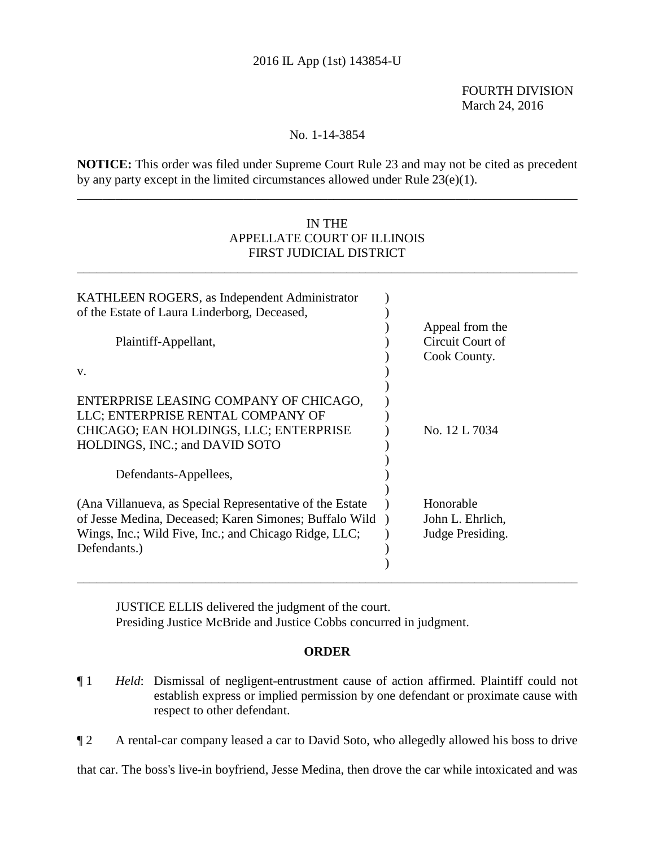## 2016 IL App (1st) 143854-U

 FOURTH DIVISION March 24, 2016

## No. 1-14-3854

**NOTICE:** This order was filed under Supreme Court Rule 23 and may not be cited as precedent by any party except in the limited circumstances allowed under Rule 23(e)(1).

\_\_\_\_\_\_\_\_\_\_\_\_\_\_\_\_\_\_\_\_\_\_\_\_\_\_\_\_\_\_\_\_\_\_\_\_\_\_\_\_\_\_\_\_\_\_\_\_\_\_\_\_\_\_\_\_\_\_\_\_\_\_\_\_\_\_\_\_\_\_\_\_\_\_\_\_\_\_

## IN THE APPELLATE COURT OF ILLINOIS FIRST JUDICIAL DISTRICT

\_\_\_\_\_\_\_\_\_\_\_\_\_\_\_\_\_\_\_\_\_\_\_\_\_\_\_\_\_\_\_\_\_\_\_\_\_\_\_\_\_\_\_\_\_\_\_\_\_\_\_\_\_\_\_\_\_\_\_\_\_\_\_\_\_\_\_\_\_\_\_\_\_\_\_\_\_\_

| KATHLEEN ROGERS, as Independent Administrator                                                                                                                                                |                                                     |
|----------------------------------------------------------------------------------------------------------------------------------------------------------------------------------------------|-----------------------------------------------------|
| of the Estate of Laura Linderborg, Deceased,                                                                                                                                                 |                                                     |
| Plaintiff-Appellant,                                                                                                                                                                         | Appeal from the<br>Circuit Court of<br>Cook County. |
| V.                                                                                                                                                                                           |                                                     |
| ENTERPRISE LEASING COMPANY OF CHICAGO,<br>LLC; ENTERPRISE RENTAL COMPANY OF<br>CHICAGO; EAN HOLDINGS, LLC; ENTERPRISE<br>HOLDINGS, INC.; and DAVID SOTO                                      | No. 12 L 7034                                       |
| Defendants-Appellees,                                                                                                                                                                        |                                                     |
| (Ana Villanueva, as Special Representative of the Estate)<br>of Jesse Medina, Deceased; Karen Simones; Buffalo Wild<br>Wings, Inc.; Wild Five, Inc.; and Chicago Ridge, LLC;<br>Defendants.) | Honorable<br>John L. Ehrlich,<br>Judge Presiding.   |
|                                                                                                                                                                                              |                                                     |

JUSTICE ELLIS delivered the judgment of the court. Presiding Justice McBride and Justice Cobbs concurred in judgment.

### **ORDER**

- ¶ 1 *Held*: Dismissal of negligent-entrustment cause of action affirmed. Plaintiff could not establish express or implied permission by one defendant or proximate cause with respect to other defendant.
- ¶ 2 A rental-car company leased a car to David Soto, who allegedly allowed his boss to drive

that car. The boss's live-in boyfriend, Jesse Medina, then drove the car while intoxicated and was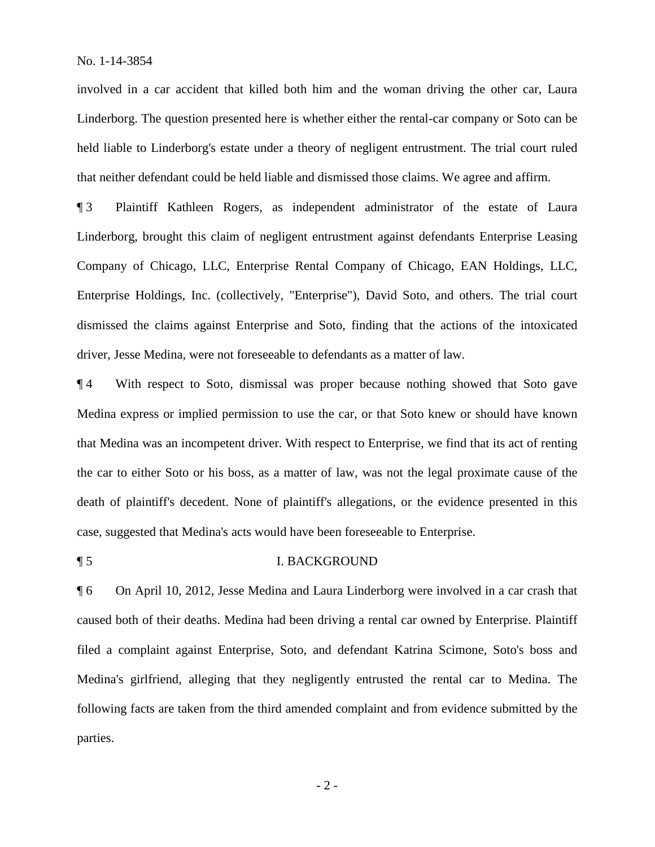involved in a car accident that killed both him and the woman driving the other car, Laura Linderborg. The question presented here is whether either the rental-car company or Soto can be held liable to Linderborg's estate under a theory of negligent entrustment. The trial court ruled that neither defendant could be held liable and dismissed those claims. We agree and affirm.

¶ 3 Plaintiff Kathleen Rogers, as independent administrator of the estate of Laura Linderborg, brought this claim of negligent entrustment against defendants Enterprise Leasing Company of Chicago, LLC, Enterprise Rental Company of Chicago, EAN Holdings, LLC, Enterprise Holdings, Inc. (collectively, "Enterprise"), David Soto, and others. The trial court dismissed the claims against Enterprise and Soto, finding that the actions of the intoxicated driver, Jesse Medina, were not foreseeable to defendants as a matter of law.

¶ 4 With respect to Soto, dismissal was proper because nothing showed that Soto gave Medina express or implied permission to use the car, or that Soto knew or should have known that Medina was an incompetent driver. With respect to Enterprise, we find that its act of renting the car to either Soto or his boss, as a matter of law, was not the legal proximate cause of the death of plaintiff's decedent. None of plaintiff's allegations, or the evidence presented in this case, suggested that Medina's acts would have been foreseeable to Enterprise.

#### ¶ 5 I. BACKGROUND

¶ 6 On April 10, 2012, Jesse Medina and Laura Linderborg were involved in a car crash that caused both of their deaths. Medina had been driving a rental car owned by Enterprise. Plaintiff filed a complaint against Enterprise, Soto, and defendant Katrina Scimone, Soto's boss and Medina's girlfriend, alleging that they negligently entrusted the rental car to Medina. The following facts are taken from the third amended complaint and from evidence submitted by the parties.

- 2 -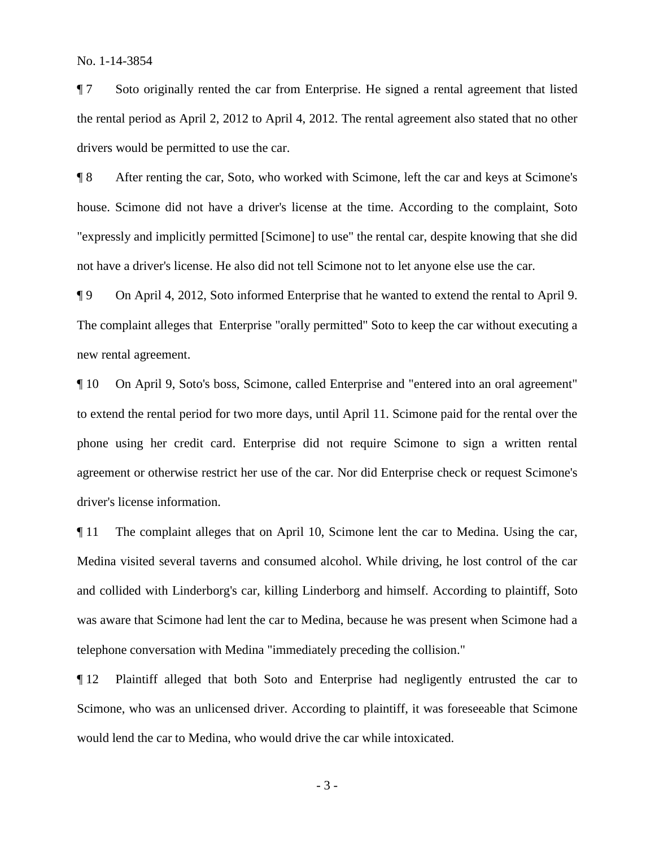¶ 7 Soto originally rented the car from Enterprise. He signed a rental agreement that listed the rental period as April 2, 2012 to April 4, 2012. The rental agreement also stated that no other drivers would be permitted to use the car.

¶ 8 After renting the car, Soto, who worked with Scimone, left the car and keys at Scimone's house. Scimone did not have a driver's license at the time. According to the complaint, Soto "expressly and implicitly permitted [Scimone] to use" the rental car, despite knowing that she did not have a driver's license. He also did not tell Scimone not to let anyone else use the car.

¶ 9 On April 4, 2012, Soto informed Enterprise that he wanted to extend the rental to April 9. The complaint alleges that Enterprise "orally permitted" Soto to keep the car without executing a new rental agreement.

¶ 10 On April 9, Soto's boss, Scimone, called Enterprise and "entered into an oral agreement" to extend the rental period for two more days, until April 11. Scimone paid for the rental over the phone using her credit card. Enterprise did not require Scimone to sign a written rental agreement or otherwise restrict her use of the car. Nor did Enterprise check or request Scimone's driver's license information.

¶ 11 The complaint alleges that on April 10, Scimone lent the car to Medina. Using the car, Medina visited several taverns and consumed alcohol. While driving, he lost control of the car and collided with Linderborg's car, killing Linderborg and himself. According to plaintiff, Soto was aware that Scimone had lent the car to Medina, because he was present when Scimone had a telephone conversation with Medina "immediately preceding the collision."

¶ 12 Plaintiff alleged that both Soto and Enterprise had negligently entrusted the car to Scimone, who was an unlicensed driver. According to plaintiff, it was foreseeable that Scimone would lend the car to Medina, who would drive the car while intoxicated.

- 3 -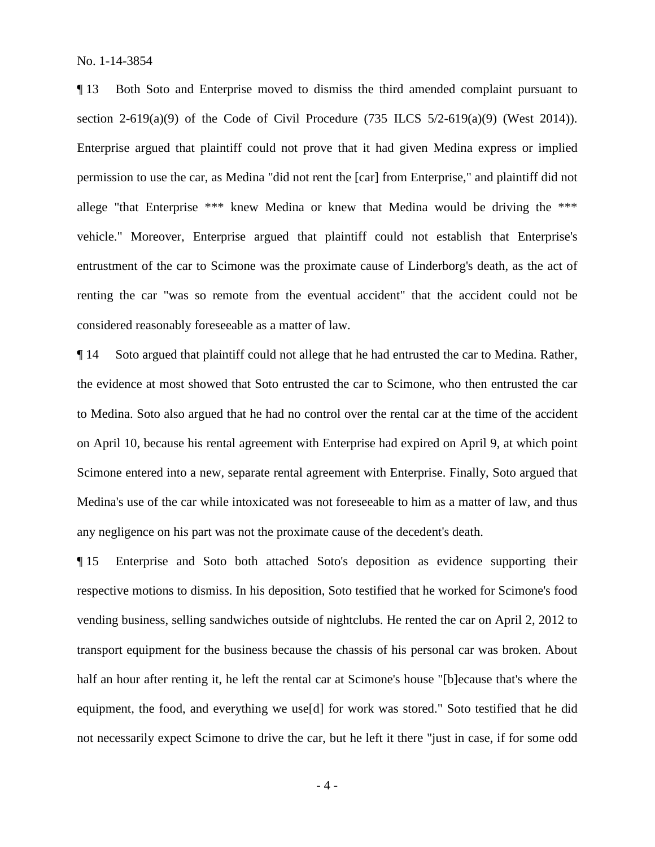¶ 13 Both Soto and Enterprise moved to dismiss the third amended complaint pursuant to section 2-619(a)(9) of the Code of Civil Procedure (735 ILCS  $5/2$ -619(a)(9) (West 2014)). Enterprise argued that plaintiff could not prove that it had given Medina express or implied permission to use the car, as Medina "did not rent the [car] from Enterprise," and plaintiff did not allege "that Enterprise \*\*\* knew Medina or knew that Medina would be driving the \*\*\* vehicle." Moreover, Enterprise argued that plaintiff could not establish that Enterprise's entrustment of the car to Scimone was the proximate cause of Linderborg's death, as the act of renting the car "was so remote from the eventual accident" that the accident could not be considered reasonably foreseeable as a matter of law.

¶ 14 Soto argued that plaintiff could not allege that he had entrusted the car to Medina. Rather, the evidence at most showed that Soto entrusted the car to Scimone, who then entrusted the car to Medina. Soto also argued that he had no control over the rental car at the time of the accident on April 10, because his rental agreement with Enterprise had expired on April 9, at which point Scimone entered into a new, separate rental agreement with Enterprise. Finally, Soto argued that Medina's use of the car while intoxicated was not foreseeable to him as a matter of law, and thus any negligence on his part was not the proximate cause of the decedent's death.

¶ 15 Enterprise and Soto both attached Soto's deposition as evidence supporting their respective motions to dismiss. In his deposition, Soto testified that he worked for Scimone's food vending business, selling sandwiches outside of nightclubs. He rented the car on April 2, 2012 to transport equipment for the business because the chassis of his personal car was broken. About half an hour after renting it, he left the rental car at Scimone's house "[b]ecause that's where the equipment, the food, and everything we use[d] for work was stored." Soto testified that he did not necessarily expect Scimone to drive the car, but he left it there "just in case, if for some odd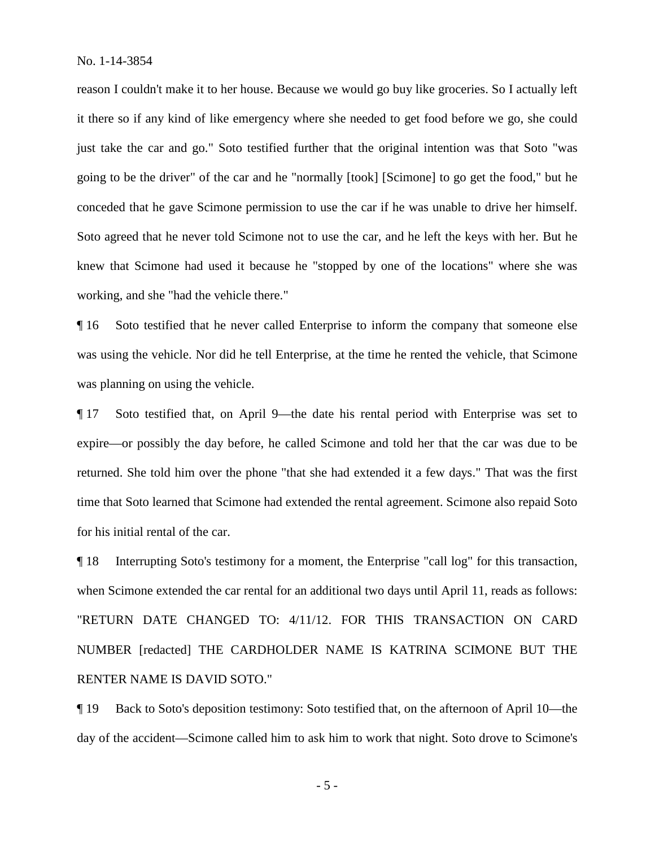reason I couldn't make it to her house. Because we would go buy like groceries. So I actually left it there so if any kind of like emergency where she needed to get food before we go, she could just take the car and go." Soto testified further that the original intention was that Soto "was going to be the driver" of the car and he "normally [took] [Scimone] to go get the food," but he conceded that he gave Scimone permission to use the car if he was unable to drive her himself. Soto agreed that he never told Scimone not to use the car, and he left the keys with her. But he knew that Scimone had used it because he "stopped by one of the locations" where she was working, and she "had the vehicle there."

¶ 16 Soto testified that he never called Enterprise to inform the company that someone else was using the vehicle. Nor did he tell Enterprise, at the time he rented the vehicle, that Scimone was planning on using the vehicle.

¶ 17 Soto testified that, on April 9—the date his rental period with Enterprise was set to expire—or possibly the day before, he called Scimone and told her that the car was due to be returned. She told him over the phone "that she had extended it a few days." That was the first time that Soto learned that Scimone had extended the rental agreement. Scimone also repaid Soto for his initial rental of the car.

¶ 18 Interrupting Soto's testimony for a moment, the Enterprise "call log" for this transaction, when Scimone extended the car rental for an additional two days until April 11, reads as follows: "RETURN DATE CHANGED TO: 4/11/12. FOR THIS TRANSACTION ON CARD NUMBER [redacted] THE CARDHOLDER NAME IS KATRINA SCIMONE BUT THE RENTER NAME IS DAVID SOTO."

¶ 19 Back to Soto's deposition testimony: Soto testified that, on the afternoon of April 10—the day of the accident—Scimone called him to ask him to work that night. Soto drove to Scimone's

- 5 -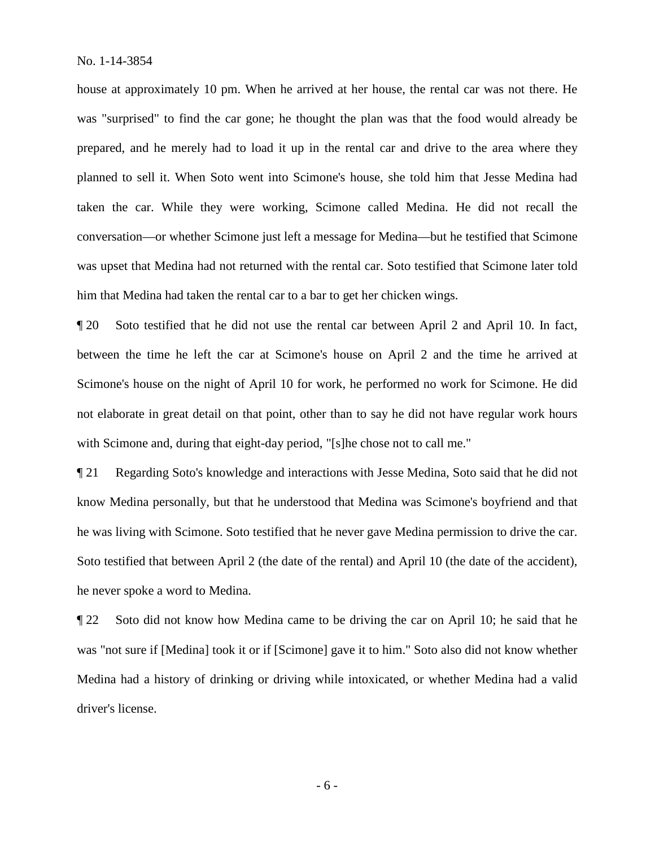house at approximately 10 pm. When he arrived at her house, the rental car was not there. He was "surprised" to find the car gone; he thought the plan was that the food would already be prepared, and he merely had to load it up in the rental car and drive to the area where they planned to sell it. When Soto went into Scimone's house, she told him that Jesse Medina had taken the car. While they were working, Scimone called Medina. He did not recall the conversation—or whether Scimone just left a message for Medina—but he testified that Scimone was upset that Medina had not returned with the rental car. Soto testified that Scimone later told him that Medina had taken the rental car to a bar to get her chicken wings.

¶ 20 Soto testified that he did not use the rental car between April 2 and April 10. In fact, between the time he left the car at Scimone's house on April 2 and the time he arrived at Scimone's house on the night of April 10 for work, he performed no work for Scimone. He did not elaborate in great detail on that point, other than to say he did not have regular work hours with Scimone and, during that eight-day period. "[s]he chose not to call me."

¶ 21 Regarding Soto's knowledge and interactions with Jesse Medina, Soto said that he did not know Medina personally, but that he understood that Medina was Scimone's boyfriend and that he was living with Scimone. Soto testified that he never gave Medina permission to drive the car. Soto testified that between April 2 (the date of the rental) and April 10 (the date of the accident), he never spoke a word to Medina.

¶ 22 Soto did not know how Medina came to be driving the car on April 10; he said that he was "not sure if [Medina] took it or if [Scimone] gave it to him." Soto also did not know whether Medina had a history of drinking or driving while intoxicated, or whether Medina had a valid driver's license.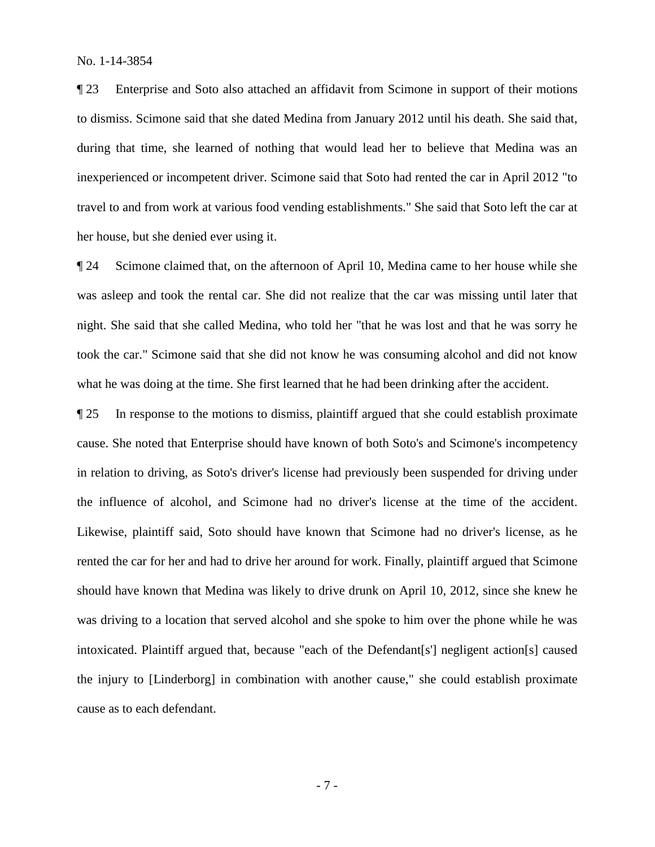¶ 23 Enterprise and Soto also attached an affidavit from Scimone in support of their motions to dismiss. Scimone said that she dated Medina from January 2012 until his death. She said that, during that time, she learned of nothing that would lead her to believe that Medina was an inexperienced or incompetent driver. Scimone said that Soto had rented the car in April 2012 "to travel to and from work at various food vending establishments." She said that Soto left the car at her house, but she denied ever using it.

¶ 24 Scimone claimed that, on the afternoon of April 10, Medina came to her house while she was asleep and took the rental car. She did not realize that the car was missing until later that night. She said that she called Medina, who told her "that he was lost and that he was sorry he took the car." Scimone said that she did not know he was consuming alcohol and did not know what he was doing at the time. She first learned that he had been drinking after the accident.

¶ 25 In response to the motions to dismiss, plaintiff argued that she could establish proximate cause. She noted that Enterprise should have known of both Soto's and Scimone's incompetency in relation to driving, as Soto's driver's license had previously been suspended for driving under the influence of alcohol, and Scimone had no driver's license at the time of the accident. Likewise, plaintiff said, Soto should have known that Scimone had no driver's license, as he rented the car for her and had to drive her around for work. Finally, plaintiff argued that Scimone should have known that Medina was likely to drive drunk on April 10, 2012, since she knew he was driving to a location that served alcohol and she spoke to him over the phone while he was intoxicated. Plaintiff argued that, because "each of the Defendant[s'] negligent action[s] caused the injury to [Linderborg] in combination with another cause," she could establish proximate cause as to each defendant.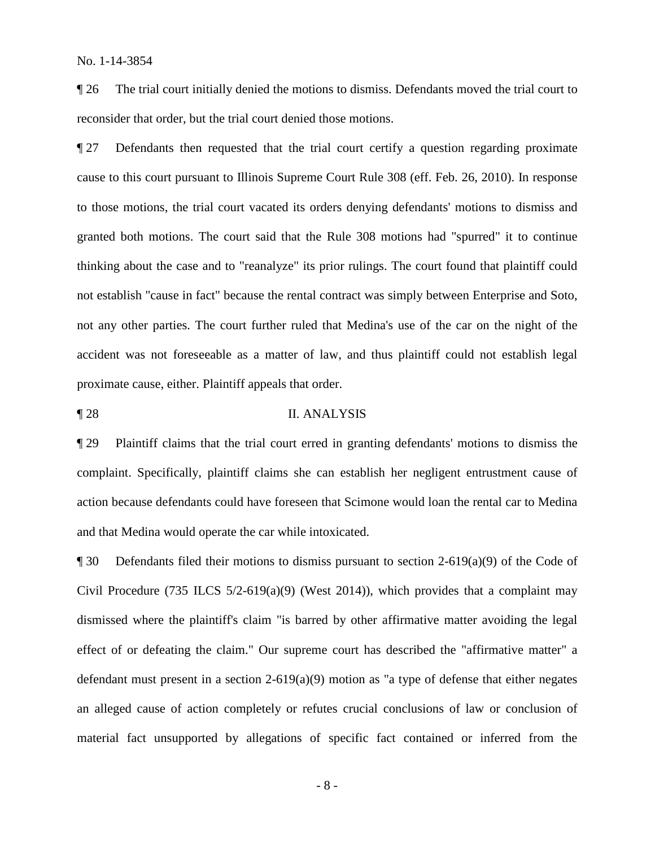¶ 26 The trial court initially denied the motions to dismiss. Defendants moved the trial court to reconsider that order, but the trial court denied those motions.

¶ 27 Defendants then requested that the trial court certify a question regarding proximate cause to this court pursuant to Illinois Supreme Court Rule 308 (eff. Feb. 26, 2010). In response to those motions, the trial court vacated its orders denying defendants' motions to dismiss and granted both motions. The court said that the Rule 308 motions had "spurred" it to continue thinking about the case and to "reanalyze" its prior rulings. The court found that plaintiff could not establish "cause in fact" because the rental contract was simply between Enterprise and Soto, not any other parties. The court further ruled that Medina's use of the car on the night of the accident was not foreseeable as a matter of law, and thus plaintiff could not establish legal proximate cause, either. Plaintiff appeals that order.

# ¶ 28 II. ANALYSIS

¶ 29 Plaintiff claims that the trial court erred in granting defendants' motions to dismiss the complaint. Specifically, plaintiff claims she can establish her negligent entrustment cause of action because defendants could have foreseen that Scimone would loan the rental car to Medina and that Medina would operate the car while intoxicated.

 $\P$  30 Defendants filed their motions to dismiss pursuant to section 2-619(a)(9) of the Code of Civil Procedure (735 ILCS  $5/2-619(a)(9)$  (West 2014)), which provides that a complaint may dismissed where the plaintiff's claim "is barred by other affirmative matter avoiding the legal effect of or defeating the claim." Our supreme court has described the "affirmative matter" a defendant must present in a section 2-619(a)(9) motion as "a type of defense that either negates an alleged cause of action completely or refutes crucial conclusions of law or conclusion of material fact unsupported by allegations of specific fact contained or inferred from the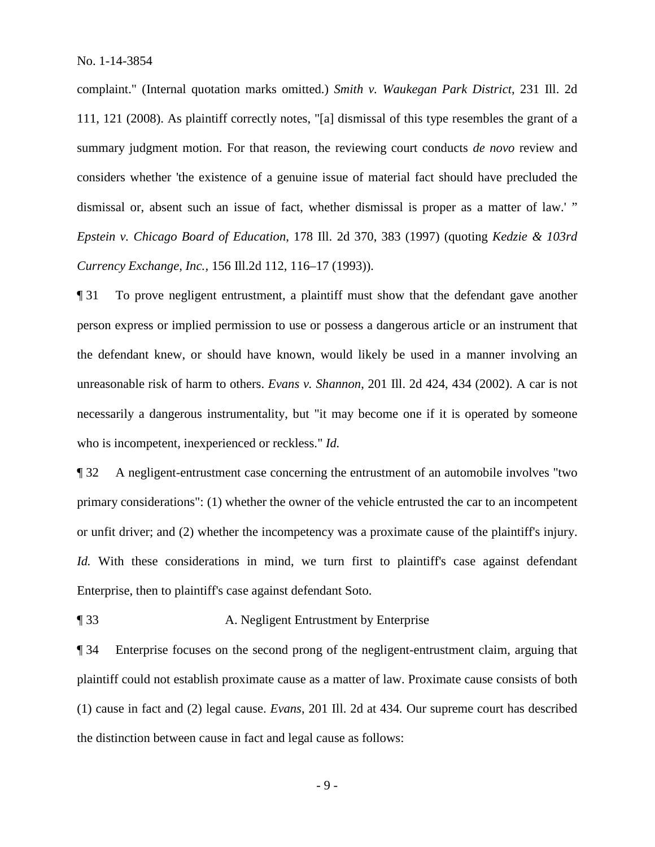complaint." (Internal quotation marks omitted.) *Smith v. Waukegan Park District*, 231 Ill. 2d 111, 121 (2008). As plaintiff correctly notes, "[a] dismissal of this type resembles the grant of a summary judgment motion. For that reason, the reviewing court conducts *de novo* review and considers whether 'the existence of a genuine issue of material fact should have precluded the dismissal or, absent such an issue of fact, whether dismissal is proper as a matter of law.' " *Epstein v. Chicago Board of Education*, 178 Ill. 2d 370, 383 (1997) (quoting *Kedzie & 103rd Currency Exchange, Inc.,* 156 Ill.2d 112, 116–17 (1993)).

¶ 31 To prove negligent entrustment, a plaintiff must show that the defendant gave another person express or implied permission to use or possess a dangerous article or an instrument that the defendant knew, or should have known, would likely be used in a manner involving an unreasonable risk of harm to others. *Evans v. Shannon*, 201 Ill. 2d 424, 434 (2002). A car is not necessarily a dangerous instrumentality, but "it may become one if it is operated by someone who is incompetent, inexperienced or reckless." *Id.*

¶ 32 A negligent-entrustment case concerning the entrustment of an automobile involves "two primary considerations": (1) whether the owner of the vehicle entrusted the car to an incompetent or unfit driver; and (2) whether the incompetency was a proximate cause of the plaintiff's injury. *Id.* With these considerations in mind, we turn first to plaintiff's case against defendant Enterprise, then to plaintiff's case against defendant Soto.

¶ 33 A. Negligent Entrustment by Enterprise

¶ 34 Enterprise focuses on the second prong of the negligent-entrustment claim, arguing that plaintiff could not establish proximate cause as a matter of law. Proximate cause consists of both (1) cause in fact and (2) legal cause. *Evans*, 201 Ill. 2d at 434*.* Our supreme court has described the distinction between cause in fact and legal cause as follows:

- 9 -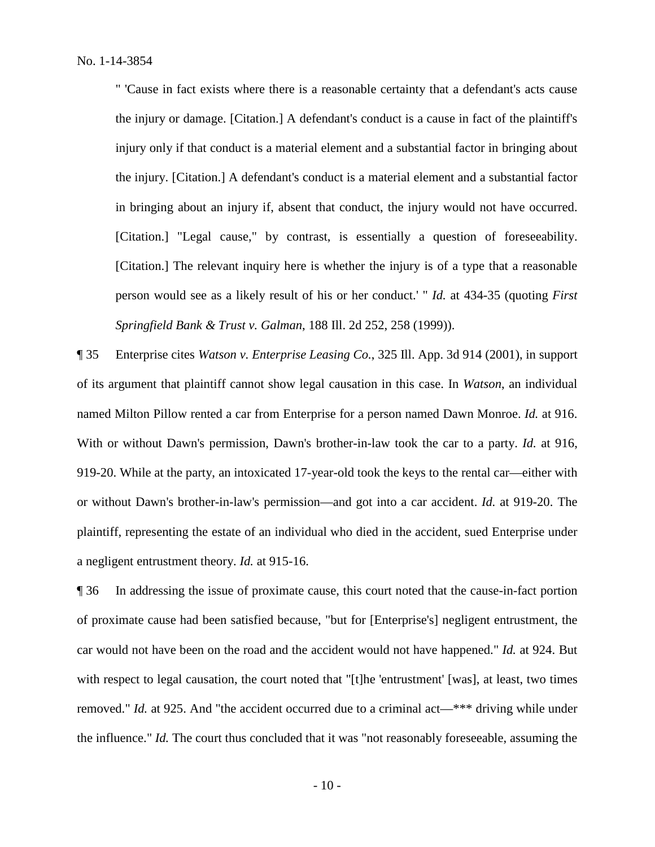" 'Cause in fact exists where there is a reasonable certainty that a defendant's acts cause the injury or damage. [Citation.] A defendant's conduct is a cause in fact of the plaintiff's injury only if that conduct is a material element and a substantial factor in bringing about the injury. [Citation.] A defendant's conduct is a material element and a substantial factor in bringing about an injury if, absent that conduct, the injury would not have occurred. [Citation.] "Legal cause," by contrast, is essentially a question of foreseeability. [Citation.] The relevant inquiry here is whether the injury is of a type that a reasonable person would see as a likely result of his or her conduct.' " *Id.* at 434-35 (quoting *First Springfield Bank & Trust v. Galman*, 188 Ill. 2d 252, 258 (1999)).

¶ 35 Enterprise cites *Watson v. Enterprise Leasing Co.*, 325 Ill. App. 3d 914 (2001), in support of its argument that plaintiff cannot show legal causation in this case. In *Watson*, an individual named Milton Pillow rented a car from Enterprise for a person named Dawn Monroe. *Id.* at 916. With or without Dawn's permission, Dawn's brother-in-law took the car to a party. *Id.* at 916, 919-20. While at the party, an intoxicated 17-year-old took the keys to the rental car—either with or without Dawn's brother-in-law's permission—and got into a car accident. *Id.* at 919-20. The plaintiff, representing the estate of an individual who died in the accident, sued Enterprise under a negligent entrustment theory. *Id.* at 915-16.

¶ 36 In addressing the issue of proximate cause, this court noted that the cause-in-fact portion of proximate cause had been satisfied because, "but for [Enterprise's] negligent entrustment, the car would not have been on the road and the accident would not have happened." *Id.* at 924. But with respect to legal causation, the court noted that "[t]he 'entrustment' [was], at least, two times removed." *Id.* at 925. And "the accident occurred due to a criminal act—\*\*\* driving while under the influence." *Id.* The court thus concluded that it was "not reasonably foreseeable, assuming the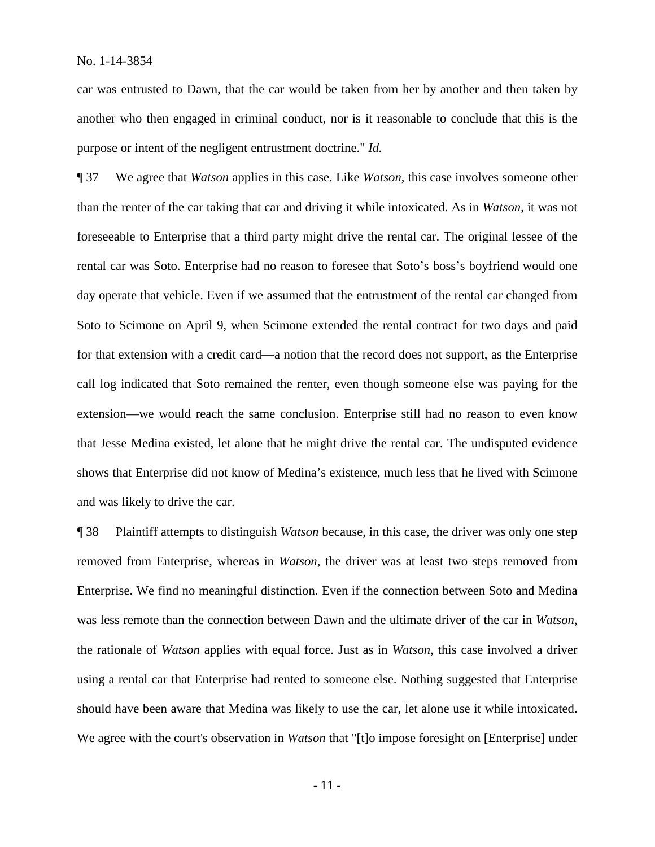car was entrusted to Dawn, that the car would be taken from her by another and then taken by another who then engaged in criminal conduct, nor is it reasonable to conclude that this is the purpose or intent of the negligent entrustment doctrine." *Id.*

¶ 37 We agree that *Watson* applies in this case. Like *Watson*, this case involves someone other than the renter of the car taking that car and driving it while intoxicated. As in *Watson*, it was not foreseeable to Enterprise that a third party might drive the rental car. The original lessee of the rental car was Soto. Enterprise had no reason to foresee that Soto's boss's boyfriend would one day operate that vehicle. Even if we assumed that the entrustment of the rental car changed from Soto to Scimone on April 9, when Scimone extended the rental contract for two days and paid for that extension with a credit card—a notion that the record does not support, as the Enterprise call log indicated that Soto remained the renter, even though someone else was paying for the extension—we would reach the same conclusion. Enterprise still had no reason to even know that Jesse Medina existed, let alone that he might drive the rental car. The undisputed evidence shows that Enterprise did not know of Medina's existence, much less that he lived with Scimone and was likely to drive the car.

¶ 38 Plaintiff attempts to distinguish *Watson* because, in this case, the driver was only one step removed from Enterprise, whereas in *Watson*, the driver was at least two steps removed from Enterprise. We find no meaningful distinction. Even if the connection between Soto and Medina was less remote than the connection between Dawn and the ultimate driver of the car in *Watson*, the rationale of *Watson* applies with equal force. Just as in *Watson*, this case involved a driver using a rental car that Enterprise had rented to someone else. Nothing suggested that Enterprise should have been aware that Medina was likely to use the car, let alone use it while intoxicated. We agree with the court's observation in *Watson* that "[t]o impose foresight on [Enterprise] under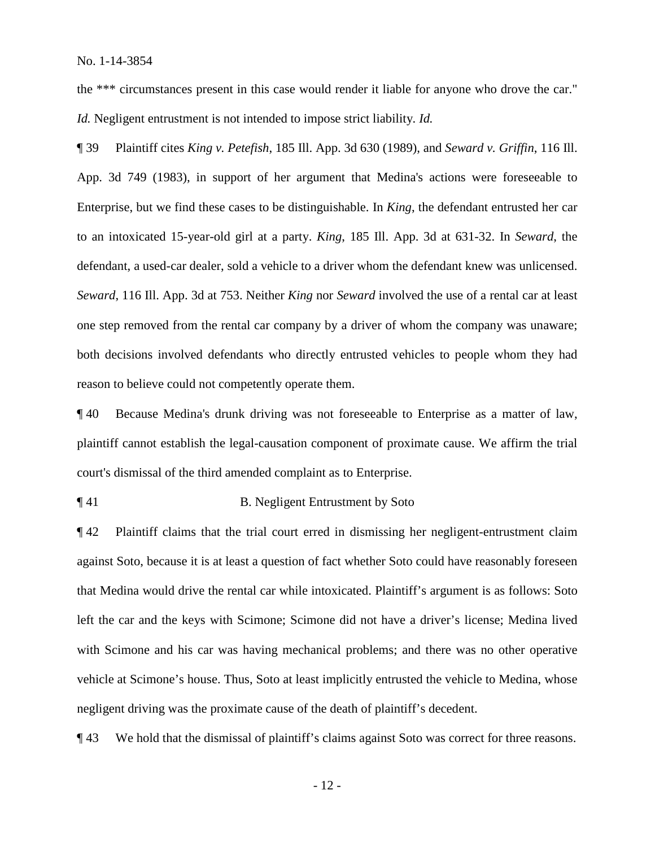the \*\*\* circumstances present in this case would render it liable for anyone who drove the car." *Id.* Negligent entrustment is not intended to impose strict liability. *Id.*

¶ 39 Plaintiff cites *King v. Petefish*, 185 Ill. App. 3d 630 (1989), and *Seward v. Griffin*, 116 Ill. App. 3d 749 (1983), in support of her argument that Medina's actions were foreseeable to Enterprise, but we find these cases to be distinguishable. In *King*, the defendant entrusted her car to an intoxicated 15-year-old girl at a party. *King*, 185 Ill. App. 3d at 631-32. In *Seward*, the defendant, a used-car dealer, sold a vehicle to a driver whom the defendant knew was unlicensed. *Seward*, 116 Ill. App. 3d at 753. Neither *King* nor *Seward* involved the use of a rental car at least one step removed from the rental car company by a driver of whom the company was unaware; both decisions involved defendants who directly entrusted vehicles to people whom they had reason to believe could not competently operate them.

¶ 40 Because Medina's drunk driving was not foreseeable to Enterprise as a matter of law, plaintiff cannot establish the legal-causation component of proximate cause. We affirm the trial court's dismissal of the third amended complaint as to Enterprise.

¶ 41 B. Negligent Entrustment by Soto

¶ 42 Plaintiff claims that the trial court erred in dismissing her negligent-entrustment claim against Soto, because it is at least a question of fact whether Soto could have reasonably foreseen that Medina would drive the rental car while intoxicated. Plaintiff's argument is as follows: Soto left the car and the keys with Scimone; Scimone did not have a driver's license; Medina lived with Scimone and his car was having mechanical problems; and there was no other operative vehicle at Scimone's house. Thus, Soto at least implicitly entrusted the vehicle to Medina, whose negligent driving was the proximate cause of the death of plaintiff's decedent.

¶ 43 We hold that the dismissal of plaintiff's claims against Soto was correct for three reasons.

- 12 -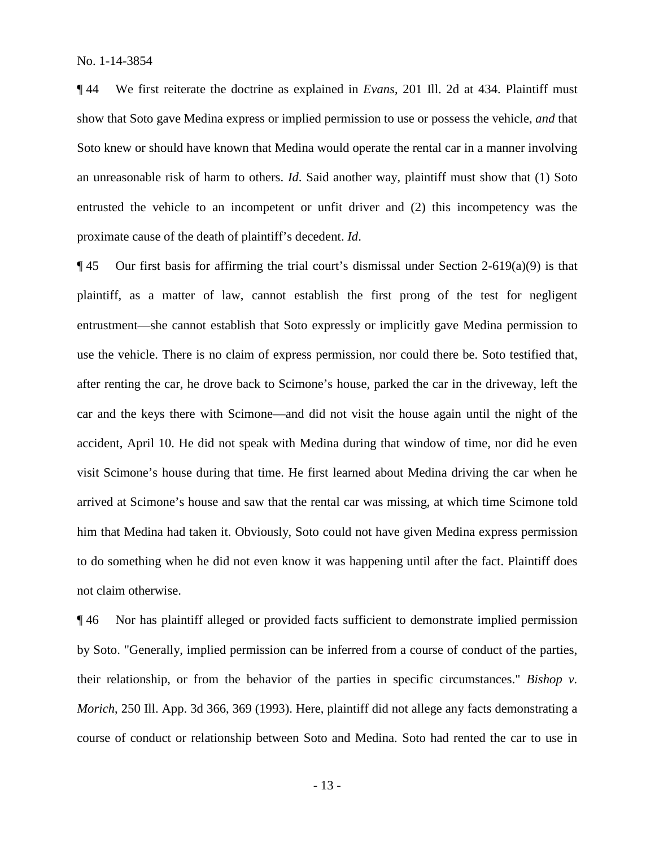¶ 44 We first reiterate the doctrine as explained in *Evans*, 201 Ill. 2d at 434. Plaintiff must show that Soto gave Medina express or implied permission to use or possess the vehicle, *and* that Soto knew or should have known that Medina would operate the rental car in a manner involving an unreasonable risk of harm to others. *Id*. Said another way, plaintiff must show that (1) Soto entrusted the vehicle to an incompetent or unfit driver and (2) this incompetency was the proximate cause of the death of plaintiff's decedent. *Id*.

 $\P$ 45 Our first basis for affirming the trial court's dismissal under Section 2-619(a)(9) is that plaintiff, as a matter of law, cannot establish the first prong of the test for negligent entrustment—she cannot establish that Soto expressly or implicitly gave Medina permission to use the vehicle. There is no claim of express permission, nor could there be. Soto testified that, after renting the car, he drove back to Scimone's house, parked the car in the driveway, left the car and the keys there with Scimone—and did not visit the house again until the night of the accident, April 10. He did not speak with Medina during that window of time, nor did he even visit Scimone's house during that time. He first learned about Medina driving the car when he arrived at Scimone's house and saw that the rental car was missing, at which time Scimone told him that Medina had taken it. Obviously, Soto could not have given Medina express permission to do something when he did not even know it was happening until after the fact. Plaintiff does not claim otherwise.

¶ 46 Nor has plaintiff alleged or provided facts sufficient to demonstrate implied permission by Soto. "Generally, implied permission can be inferred from a course of conduct of the parties, their relationship, or from the behavior of the parties in specific circumstances." *Bishop v. Morich*, 250 Ill. App. 3d 366, 369 (1993). Here, plaintiff did not allege any facts demonstrating a course of conduct or relationship between Soto and Medina. Soto had rented the car to use in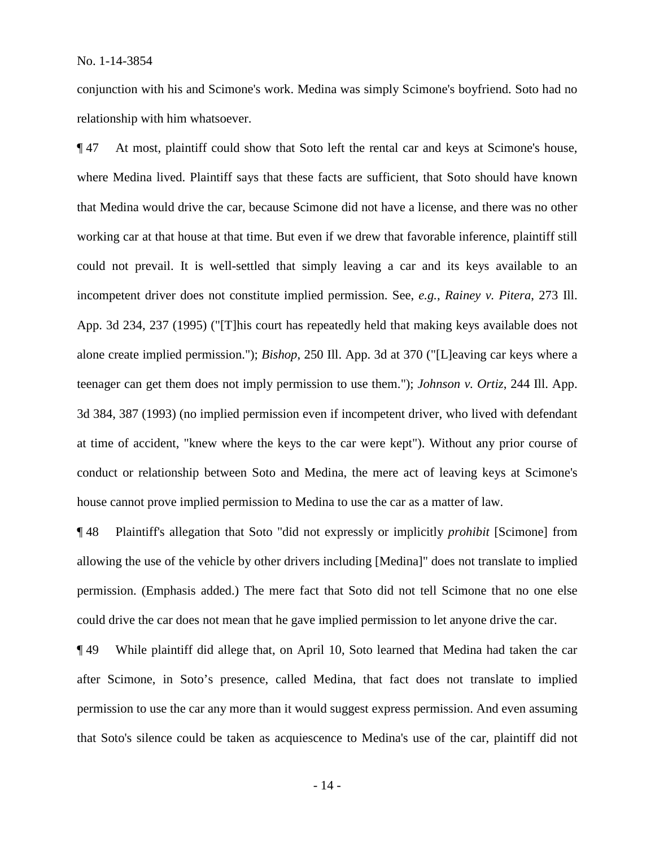conjunction with his and Scimone's work. Medina was simply Scimone's boyfriend. Soto had no relationship with him whatsoever.

¶ 47 At most, plaintiff could show that Soto left the rental car and keys at Scimone's house, where Medina lived. Plaintiff says that these facts are sufficient, that Soto should have known that Medina would drive the car, because Scimone did not have a license, and there was no other working car at that house at that time. But even if we drew that favorable inference, plaintiff still could not prevail. It is well-settled that simply leaving a car and its keys available to an incompetent driver does not constitute implied permission. See, *e.g.*, *Rainey v. Pitera*, 273 Ill. App. 3d 234, 237 (1995) ("[T]his court has repeatedly held that making keys available does not alone create implied permission."); *Bishop*, 250 Ill. App. 3d at 370 ("[L]eaving car keys where a teenager can get them does not imply permission to use them."); *Johnson v. Ortiz*, 244 Ill. App. 3d 384, 387 (1993) (no implied permission even if incompetent driver, who lived with defendant at time of accident, "knew where the keys to the car were kept"). Without any prior course of conduct or relationship between Soto and Medina, the mere act of leaving keys at Scimone's house cannot prove implied permission to Medina to use the car as a matter of law.

¶ 48 Plaintiff's allegation that Soto "did not expressly or implicitly *prohibit* [Scimone] from allowing the use of the vehicle by other drivers including [Medina]" does not translate to implied permission. (Emphasis added.) The mere fact that Soto did not tell Scimone that no one else could drive the car does not mean that he gave implied permission to let anyone drive the car.

¶ 49 While plaintiff did allege that, on April 10, Soto learned that Medina had taken the car after Scimone, in Soto's presence, called Medina, that fact does not translate to implied permission to use the car any more than it would suggest express permission. And even assuming that Soto's silence could be taken as acquiescence to Medina's use of the car, plaintiff did not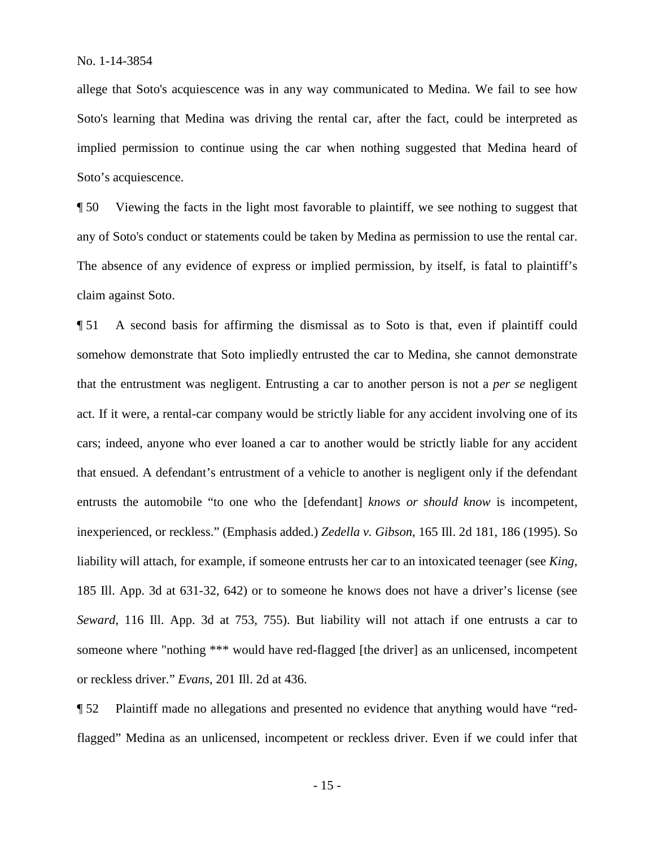allege that Soto's acquiescence was in any way communicated to Medina. We fail to see how Soto's learning that Medina was driving the rental car, after the fact, could be interpreted as implied permission to continue using the car when nothing suggested that Medina heard of Soto's acquiescence.

¶ 50 Viewing the facts in the light most favorable to plaintiff, we see nothing to suggest that any of Soto's conduct or statements could be taken by Medina as permission to use the rental car. The absence of any evidence of express or implied permission, by itself, is fatal to plaintiff's claim against Soto.

¶ 51 A second basis for affirming the dismissal as to Soto is that, even if plaintiff could somehow demonstrate that Soto impliedly entrusted the car to Medina, she cannot demonstrate that the entrustment was negligent. Entrusting a car to another person is not a *per se* negligent act. If it were, a rental-car company would be strictly liable for any accident involving one of its cars; indeed, anyone who ever loaned a car to another would be strictly liable for any accident that ensued. A defendant's entrustment of a vehicle to another is negligent only if the defendant entrusts the automobile "to one who the [defendant] *knows or should know* is incompetent, inexperienced, or reckless." (Emphasis added.) *Zedella v. Gibson*, 165 Ill. 2d 181, 186 (1995). So liability will attach, for example, if someone entrusts her car to an intoxicated teenager (see *King*, 185 Ill. App. 3d at 631-32, 642) or to someone he knows does not have a driver's license (see *Seward*, 116 Ill. App. 3d at 753, 755). But liability will not attach if one entrusts a car to someone where "nothing \*\*\* would have red-flagged [the driver] as an unlicensed, incompetent or reckless driver." *Evans*, 201 Ill. 2d at 436.

¶ 52 Plaintiff made no allegations and presented no evidence that anything would have "redflagged" Medina as an unlicensed, incompetent or reckless driver. Even if we could infer that

- 15 -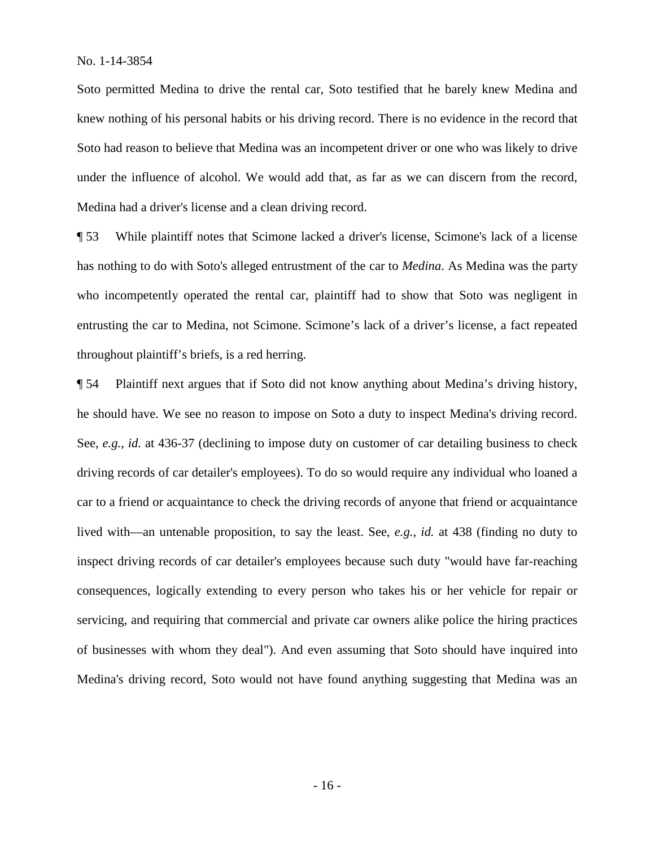Soto permitted Medina to drive the rental car, Soto testified that he barely knew Medina and knew nothing of his personal habits or his driving record. There is no evidence in the record that Soto had reason to believe that Medina was an incompetent driver or one who was likely to drive under the influence of alcohol. We would add that, as far as we can discern from the record, Medina had a driver's license and a clean driving record.

¶ 53 While plaintiff notes that Scimone lacked a driver's license, Scimone's lack of a license has nothing to do with Soto's alleged entrustment of the car to *Medina*. As Medina was the party who incompetently operated the rental car, plaintiff had to show that Soto was negligent in entrusting the car to Medina, not Scimone. Scimone's lack of a driver's license, a fact repeated throughout plaintiff's briefs, is a red herring.

¶ 54 Plaintiff next argues that if Soto did not know anything about Medina's driving history, he should have. We see no reason to impose on Soto a duty to inspect Medina's driving record. See, *e.g.*, *id.* at 436-37 (declining to impose duty on customer of car detailing business to check driving records of car detailer's employees). To do so would require any individual who loaned a car to a friend or acquaintance to check the driving records of anyone that friend or acquaintance lived with—an untenable proposition, to say the least. See, *e.g.*, *id.* at 438 (finding no duty to inspect driving records of car detailer's employees because such duty "would have far-reaching consequences, logically extending to every person who takes his or her vehicle for repair or servicing, and requiring that commercial and private car owners alike police the hiring practices of businesses with whom they deal"). And even assuming that Soto should have inquired into Medina's driving record, Soto would not have found anything suggesting that Medina was an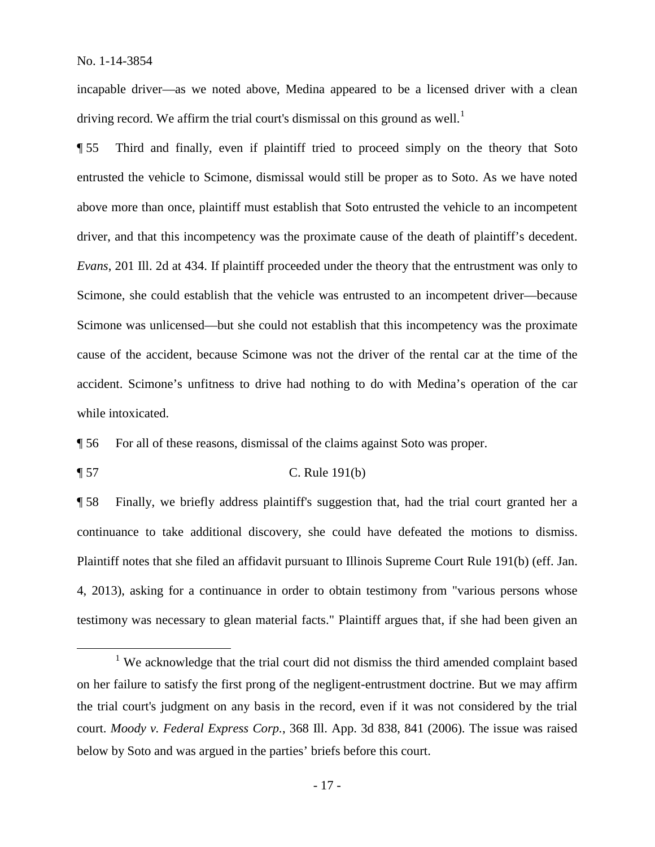incapable driver—as we noted above, Medina appeared to be a licensed driver with a clean driving record. We affirm the trial court's dismissal on this ground as well.<sup>1</sup>

¶ 55 Third and finally, even if plaintiff tried to proceed simply on the theory that Soto entrusted the vehicle to Scimone, dismissal would still be proper as to Soto. As we have noted above more than once, plaintiff must establish that Soto entrusted the vehicle to an incompetent driver, and that this incompetency was the proximate cause of the death of plaintiff's decedent. *Evans*, 201 Ill. 2d at 434. If plaintiff proceeded under the theory that the entrustment was only to Scimone, she could establish that the vehicle was entrusted to an incompetent driver—because Scimone was unlicensed—but she could not establish that this incompetency was the proximate cause of the accident, because Scimone was not the driver of the rental car at the time of the accident. Scimone's unfitness to drive had nothing to do with Medina's operation of the car while intoxicated.

¶ 56 For all of these reasons, dismissal of the claims against Soto was proper.

¶ 57 C. Rule 191(b)

¶ 58 Finally, we briefly address plaintiff's suggestion that, had the trial court granted her a continuance to take additional discovery, she could have defeated the motions to dismiss. Plaintiff notes that she filed an affidavit pursuant to Illinois Supreme Court Rule 191(b) (eff. Jan. 4, 2013), asking for a continuance in order to obtain testimony from "various persons whose testimony was necessary to glean material facts." Plaintiff argues that, if she had been given an

<sup>&</sup>lt;sup>1</sup> We acknowledge that the trial court did not dismiss the third amended complaint based on her failure to satisfy the first prong of the negligent-entrustment doctrine. But we may affirm the trial court's judgment on any basis in the record, even if it was not considered by the trial court. *Moody v. Federal Express Corp.*, 368 Ill. App. 3d 838, 841 (2006). The issue was raised below by Soto and was argued in the parties' briefs before this court.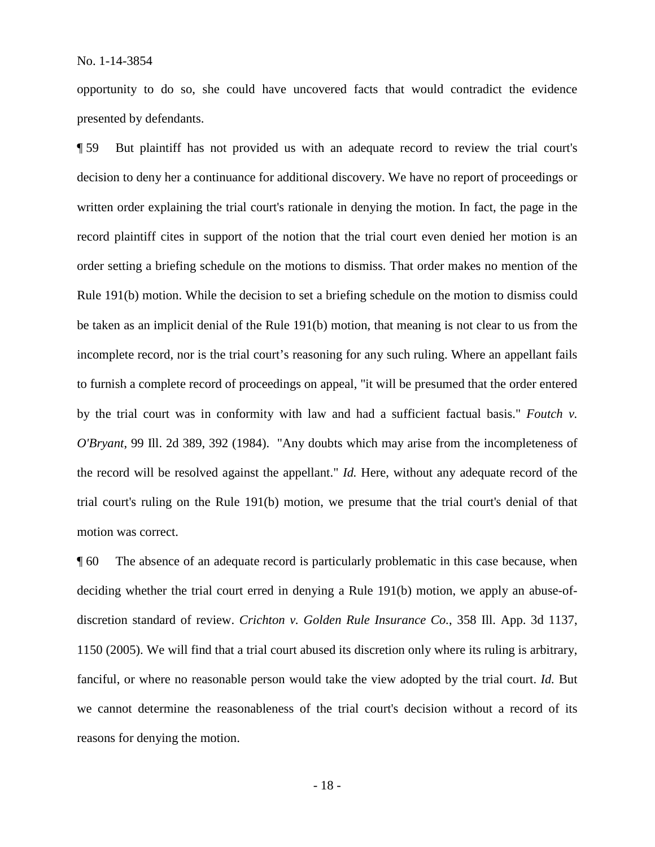opportunity to do so, she could have uncovered facts that would contradict the evidence presented by defendants.

¶ 59 But plaintiff has not provided us with an adequate record to review the trial court's decision to deny her a continuance for additional discovery. We have no report of proceedings or written order explaining the trial court's rationale in denying the motion. In fact, the page in the record plaintiff cites in support of the notion that the trial court even denied her motion is an order setting a briefing schedule on the motions to dismiss. That order makes no mention of the Rule 191(b) motion. While the decision to set a briefing schedule on the motion to dismiss could be taken as an implicit denial of the Rule 191(b) motion, that meaning is not clear to us from the incomplete record, nor is the trial court's reasoning for any such ruling. Where an appellant fails to furnish a complete record of proceedings on appeal, "it will be presumed that the order entered by the trial court was in conformity with law and had a sufficient factual basis." *Foutch v. O'Bryant*, 99 Ill. 2d 389, 392 (1984). "Any doubts which may arise from the incompleteness of the record will be resolved against the appellant." *Id.* Here, without any adequate record of the trial court's ruling on the Rule 191(b) motion, we presume that the trial court's denial of that motion was correct.

¶ 60 The absence of an adequate record is particularly problematic in this case because, when deciding whether the trial court erred in denying a Rule 191(b) motion, we apply an abuse-ofdiscretion standard of review. *Crichton v. Golden Rule Insurance Co.*, 358 Ill. App. 3d 1137, 1150 (2005). We will find that a trial court abused its discretion only where its ruling is arbitrary, fanciful, or where no reasonable person would take the view adopted by the trial court. *Id.* But we cannot determine the reasonableness of the trial court's decision without a record of its reasons for denying the motion.